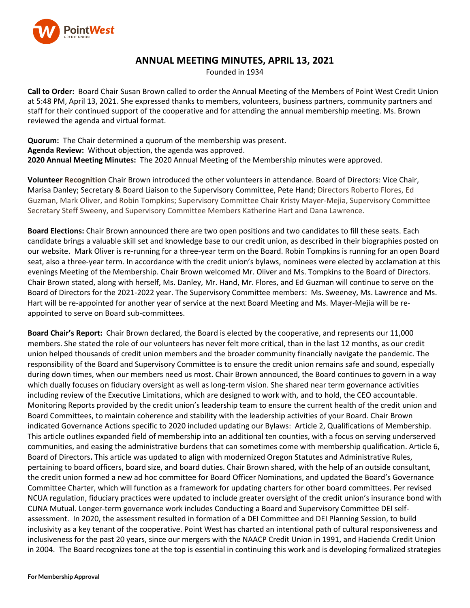

## **ANNUAL MEETING MINUTES, APRIL 13, 2021**

Founded in 1934

**Call to Order:** Board Chair Susan Brown called to order the Annual Meeting of the Members of Point West Credit Union at 5:48 PM, April 13, 2021. She expressed thanks to members, volunteers, business partners, community partners and staff for their continued support of the cooperative and for attending the annual membership meeting. Ms. Brown reviewed the agenda and virtual format.

**Quorum:** The Chair determined a quorum of the membership was present. **Agenda Review:** Without objection, the agenda was approved. **2020 Annual Meeting Minutes:** The 2020 Annual Meeting of the Membership minutes were approved.

**Volunteer Recognition** Chair Brown introduced the other volunteers in attendance. Board of Directors: Vice Chair, Marisa Danley; Secretary & Board Liaison to the Supervisory Committee, Pete Hand; Directors Roberto Flores, Ed Guzman, Mark Oliver, and Robin Tompkins; Supervisory Committee Chair Kristy Mayer-Mejia, Supervisory Committee Secretary Steff Sweeny, and Supervisory Committee Members Katherine Hart and Dana Lawrence.

**Board Elections:** Chair Brown announced there are two open positions and two candidates to fill these seats. Each candidate brings a valuable skill set and knowledge base to our credit union, as described in their biographies posted on our website. Mark Oliver is re-running for a three-year term on the Board. Robin Tompkins is running for an open Board seat, also a three-year term. In accordance with the credit union's bylaws, nominees were elected by acclamation at this evenings Meeting of the Membership. Chair Brown welcomed Mr. Oliver and Ms. Tompkins to the Board of Directors. Chair Brown stated, along with herself, Ms. Danley, Mr. Hand, Mr. Flores, and Ed Guzman will continue to serve on the Board of Directors for the 2021-2022 year. The Supervisory Committee members: Ms. Sweeney, Ms. Lawrence and Ms. Hart will be re-appointed for another year of service at the next Board Meeting and Ms. Mayer-Mejia will be reappointed to serve on Board sub-committees.

**Board Chair's Report:** Chair Brown declared, the Board is elected by the cooperative, and represents our 11,000 members. She stated the role of our volunteers has never felt more critical, than in the last 12 months, as our credit union helped thousands of credit union members and the broader community financially navigate the pandemic. The responsibility of the Board and Supervisory Committee is to ensure the credit union remains safe and sound, especially during down times, when our members need us most. Chair Brown announced, the Board continues to govern in a way which dually focuses on fiduciary oversight as well as long-term vision. She shared near term governance activities including review of the Executive Limitations, which are designed to work with, and to hold, the CEO accountable. Monitoring Reports provided by the credit union's leadership team to ensure the current health of the credit union and Board Committees, to maintain coherence and stability with the leadership activities of your Board. Chair Brown indicated Governance Actions specific to 2020 included updating our Bylaws: Article 2, Qualifications of Membership. This article outlines expanded field of membership into an additional ten counties, with a focus on serving underserved communities, and easing the administrative burdens that can sometimes come with membership qualification. Article 6, Board of Directors**.** This article was updated to align with modernized Oregon Statutes and Administrative Rules, pertaining to board officers, board size, and board duties. Chair Brown shared, with the help of an outside consultant, the credit union formed a new ad hoc committee for Board Officer Nominations, and updated the Board's Governance Committee Charter, which will function as a framework for updating charters for other board committees. Per revised NCUA regulation, fiduciary practices were updated to include greater oversight of the credit union's insurance bond with CUNA Mutual. Longer-term governance work includes Conducting a Board and Supervisory Committee DEI selfassessment. In 2020, the assessment resulted in formation of a DEI Committee and DEI Planning Session, to build inclusivity as a key tenant of the cooperative. Point West has charted an intentional path of cultural responsiveness and inclusiveness for the past 20 years, since our mergers with the NAACP Credit Union in 1991, and Hacienda Credit Union in 2004. The Board recognizes tone at the top is essential in continuing this work and is developing formalized strategies